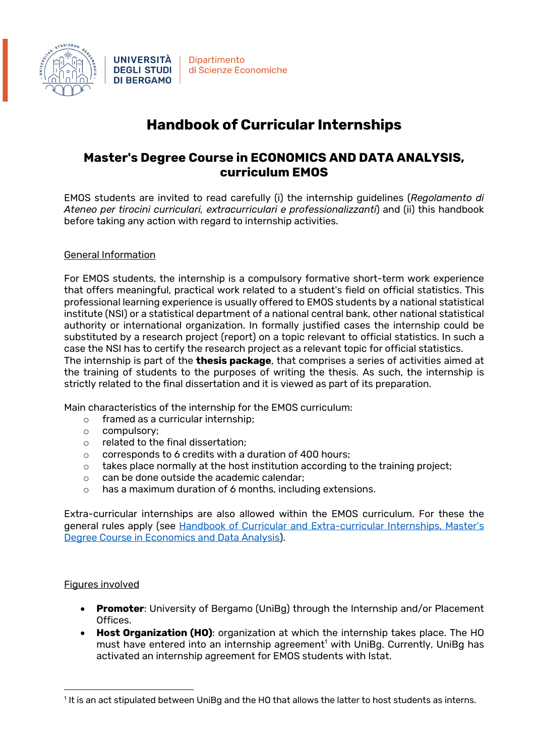

# **Handbook of Curricular Internships**

# **Master's Degree Course in ECONOMICS AND DATA ANALYSIS, curriculum EMOS**

EMOS students are invited to read carefully (i) the internship guidelines (*Regolamento di Ateneo per tirocini curriculari, extracurriculari e professionalizzanti*) and (ii) this handbook before taking any action with regard to internship activities.

# General Information

For EMOS students, the internship is a compulsory formative short-term work experience that offers meaningful, practical work related to a student's field on official statistics. This professional learning experience is usually offered to EMOS students by a national statistical institute (NSI) or a statistical department of a national central bank, other national statistical authority or international organization. In formally justified cases the internship could be substituted by a research project (report) on a topic relevant to official statistics. In such a case the NSI has to certify the research project as a relevant topic for official statistics. The internship is part of the **thesis package**, that comprises a series of activities aimed at the training of students to the purposes of writing the thesis. As such, the internship is

Main characteristics of the internship for the EMOS curriculum:

- o framed as a curricular internship;
- o compulsory;
- o related to the final dissertation;
- o corresponds to 6 credits with a duration of 400 hours;
- o takes place normally at the host institution according to the training project;

strictly related to the final dissertation and it is viewed as part of its preparation.

- o can be done outside the academic calendar;
- $\circ$  has a maximum duration of 6 months, including extensions.

Extra-curricular internships are also allowed within the EMOS curriculum. For these the general rules apply (see Handbook of Curricular and Extra-curricular Internships, Master's Degree Course in Economics and Data Analysis).

#### Figures involved

- **Promoter**: University of Bergamo (UniBg) through the Internship and/or Placement Offices.
- **Host Organization (HO)**: organization at which the internship takes place. The HO must have entered into an internship agreement<sup>1</sup> with UniBg. Currently, UniBg has activated an internship agreement for EMOS students with Istat.

<sup>1</sup> It is an act stipulated between UniBg and the HO that allows the latter to host students as interns.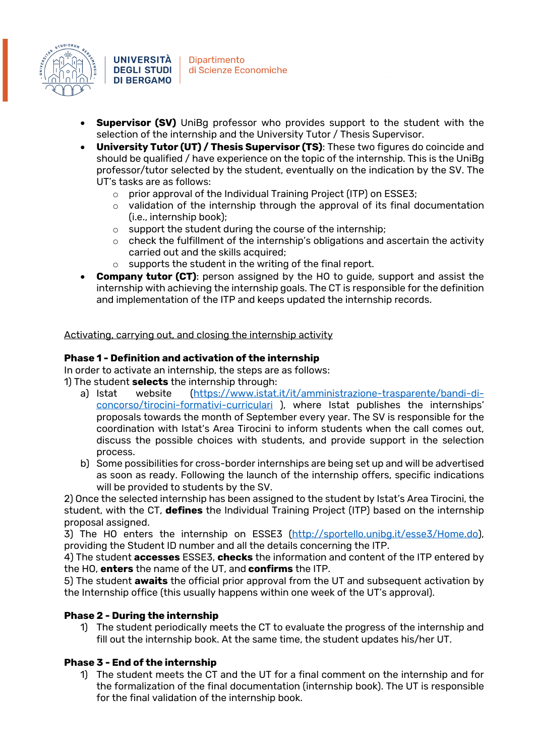

**Dipartimento** di Scienze Economiche

- **Supervisor (SV)** UniBg professor who provides support to the student with the selection of the internship and the University Tutor / Thesis Supervisor.
- **University Tutor (UT) / Thesis Supervisor (TS)**: These two figures do coincide and should be qualified / have experience on the topic of the internship. This is the UniBg professor/tutor selected by the student, eventually on the indication by the SV. The UT's tasks are as follows:
	- o prior approval of the Individual Training Project (ITP) on ESSE3;
	- o validation of the internship through the approval of its final documentation (i.e., internship book);
	- o support the student during the course of the internship;
	- o check the fulfillment of the internship's obligations and ascertain the activity carried out and the skills acquired;
	- o supports the student in the writing of the final report.
- **Company tutor (CT)**: person assigned by the HO to guide, support and assist the internship with achieving the internship goals. The CT is responsible for the definition and implementation of the ITP and keeps updated the internship records.

#### Activating, carrying out, and closing the internship activity

### **Phase 1 - Definition and activation of the internship**

In order to activate an internship, the steps are as follows:

1) The student **selects** the internship through:

- a) Istat website (https://www.istat.it/it/amministrazione-trasparente/bandi-diconcorso/tirocini-formativi-curriculari ), where Istat publishes the internships' proposals towards the month of September every year. The SV is responsible for the coordination with Istat's Area Tirocini to inform students when the call comes out, discuss the possible choices with students, and provide support in the selection process.
- b) Some possibilities for cross-border internships are being set up and will be advertised as soon as ready. Following the launch of the internship offers, specific indications will be provided to students by the SV.

2) Once the selected internship has been assigned to the student by Istat's Area Tirocini, the student, with the CT, **defines** the Individual Training Project (ITP) based on the internship proposal assigned.

3) The HO enters the internship on ESSE3 (http://sportello.unibg.it/esse3/Home.do), providing the Student ID number and all the details concerning the ITP.

4) The student **accesses** ESSE3, **checks** the information and content of the ITP entered by the HO, **enters** the name of the UT, and **confirms** the ITP.

5) The student **awaits** the official prior approval from the UT and subsequent activation by the Internship office (this usually happens within one week of the UT's approval).

#### **Phase 2 - During the internship**

1) The student periodically meets the CT to evaluate the progress of the internship and fill out the internship book. At the same time, the student updates his/her UT.

# **Phase 3 - End of the internship**

1) The student meets the CT and the UT for a final comment on the internship and for the formalization of the final documentation (internship book). The UT is responsible for the final validation of the internship book.